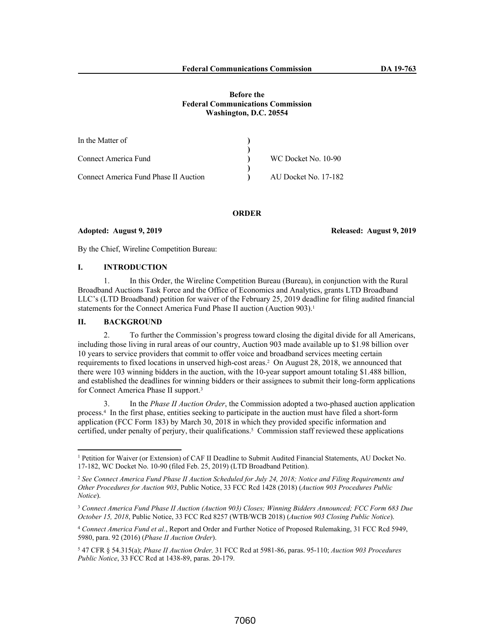### **Before the Federal Communications Commission Washington, D.C. 20554**

| In the Matter of                      |                      |
|---------------------------------------|----------------------|
|                                       |                      |
| Connect America Fund                  | WC Docket No. 10-90  |
|                                       |                      |
| Connect America Fund Phase II Auction | AU Docket No. 17-182 |

#### **ORDER**

### **Adopted: August 9, 2019 Released: August 9, 2019**

By the Chief, Wireline Competition Bureau:

## **I. INTRODUCTION**

1. In this Order, the Wireline Competition Bureau (Bureau), in conjunction with the Rural Broadband Auctions Task Force and the Office of Economics and Analytics, grants LTD Broadband LLC's (LTD Broadband) petition for waiver of the February 25, 2019 deadline for filing audited financial statements for the Connect America Fund Phase II auction (Auction 903).<sup>1</sup>

### **II. BACKGROUND**

2. To further the Commission's progress toward closing the digital divide for all Americans, including those living in rural areas of our country, Auction 903 made available up to \$1.98 billion over 10 years to service providers that commit to offer voice and broadband services meeting certain requirements to fixed locations in unserved high-cost areas.<sup>2</sup> On August 28, 2018, we announced that there were 103 winning bidders in the auction, with the 10-year support amount totaling \$1.488 billion, and established the deadlines for winning bidders or their assignees to submit their long-form applications for Connect America Phase II support.<sup>3</sup>

3. In the *Phase II Auction Order*, the Commission adopted a two-phased auction application process.<sup>4</sup> In the first phase, entities seeking to participate in the auction must have filed a short-form application (FCC Form 183) by March 30, 2018 in which they provided specific information and certified, under penalty of perjury, their qualifications.<sup>5</sup> Commission staff reviewed these applications

<sup>1</sup> Petition for Waiver (or Extension) of CAF II Deadline to Submit Audited Financial Statements, AU Docket No. 17-182, WC Docket No. 10-90 (filed Feb. 25, 2019) (LTD Broadband Petition).

<sup>2</sup> *See Connect America Fund Phase II Auction Scheduled for July 24, 2018; Notice and Filing Requirements and Other Procedures for Auction 903*, Public Notice, 33 FCC Rcd 1428 (2018) (*Auction 903 Procedures Public Notice*).

<sup>3</sup> *Connect America Fund Phase II Auction (Auction 903) Closes; Winning Bidders Announced; FCC Form 683 Due October 15, 2018*, Public Notice, 33 FCC Rcd 8257 (WTB/WCB 2018) (*Auction 903 Closing Public Notice*).

<sup>4</sup> *Connect America Fund et al.*, Report and Order and Further Notice of Proposed Rulemaking, 31 FCC Rcd 5949, 5980, para. 92 (2016) (*Phase II Auction Order*).

<sup>5</sup> 47 CFR § 54.315(a); *Phase II Auction Order,* 31 FCC Rcd at 5981-86, paras. 95-110; *Auction 903 Procedures Public Notice*, 33 FCC Rcd at 1438-89, paras. 20-179.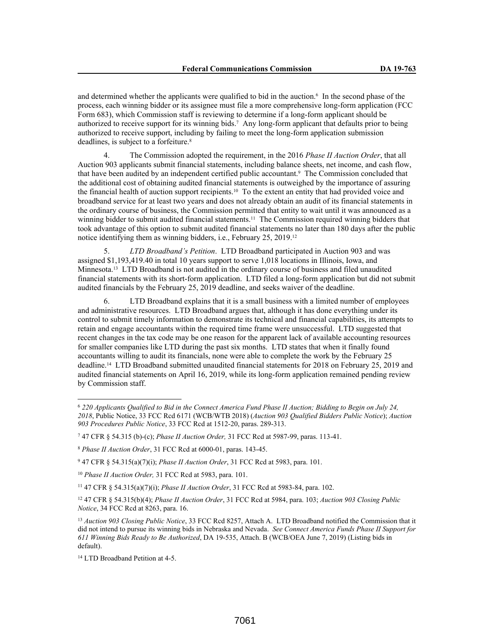and determined whether the applicants were qualified to bid in the auction.<sup>6</sup> In the second phase of the process, each winning bidder or its assignee must file a more comprehensive long-form application (FCC Form 683), which Commission staff is reviewing to determine if a long-form applicant should be authorized to receive support for its winning bids.<sup>7</sup> Any long-form applicant that defaults prior to being authorized to receive support, including by failing to meet the long-form application submission deadlines, is subject to a forfeiture.<sup>8</sup>

4. The Commission adopted the requirement, in the 2016 *Phase II Auction Order*, that all Auction 903 applicants submit financial statements, including balance sheets, net income, and cash flow, that have been audited by an independent certified public accountant.<sup>9</sup> The Commission concluded that the additional cost of obtaining audited financial statements is outweighed by the importance of assuring the financial health of auction support recipients.10 To the extent an entity that had provided voice and broadband service for at least two years and does not already obtain an audit of its financial statements in the ordinary course of business, the Commission permitted that entity to wait until it was announced as a winning bidder to submit audited financial statements.11 The Commission required winning bidders that took advantage of this option to submit audited financial statements no later than 180 days after the public notice identifying them as winning bidders, i.e., February 25, 2019.<sup>12</sup>

5. *LTD Broadband's Petition*. LTD Broadband participated in Auction 903 and was assigned \$1,193,419.40 in total 10 years support to serve 1,018 locations in Illinois, Iowa, and Minnesota.13 LTD Broadband is not audited in the ordinary course of business and filed unaudited financial statements with its short-form application. LTD filed a long-form application but did not submit audited financials by the February 25, 2019 deadline, and seeks waiver of the deadline.

6. LTD Broadband explains that it is a small business with a limited number of employees and administrative resources. LTD Broadband argues that, although it has done everything under its control to submit timely information to demonstrate its technical and financial capabilities, its attempts to retain and engage accountants within the required time frame were unsuccessful. LTD suggested that recent changes in the tax code may be one reason for the apparent lack of available accounting resources for smaller companies like LTD during the past six months. LTD states that when it finally found accountants willing to audit its financials, none were able to complete the work by the February 25 deadline.14 LTD Broadband submitted unaudited financial statements for 2018 on February 25, 2019 and audited financial statements on April 16, 2019, while its long-form application remained pending review by Commission staff.

<sup>6</sup> *220 Applicants Qualified to Bid in the Connect America Fund Phase II Auction; Bidding to Begin on July 24, 2018*, Public Notice, 33 FCC Rcd 6171 (WCB/WTB 2018) (*Auction 903 Qualified Bidders Public Notice*); *Auction 903 Procedures Public Notice*, 33 FCC Rcd at 1512-20, paras. 289-313.

<sup>7</sup> 47 CFR § 54.315 (b)-(c); *Phase II Auction Order,* 31 FCC Rcd at 5987-99, paras. 113-41.

<sup>8</sup> *Phase II Auction Order*, 31 FCC Rcd at 6000-01, paras. 143-45.

<sup>9</sup> 47 CFR § 54.315(a)(7)(i); *Phase II Auction Order*, 31 FCC Rcd at 5983, para. 101.

<sup>10</sup> *Phase II Auction Order,* 31 FCC Rcd at 5983, para. 101.

<sup>11</sup> 47 CFR § 54.315(a)(7)(i); *Phase II Auction Order*, 31 FCC Rcd at 5983-84, para. 102.

<sup>12</sup> 47 CFR § 54.315(b)(4); *Phase II Auction Order*, 31 FCC Rcd at 5984, para. 103; *Auction 903 Closing Public Notice*, 34 FCC Rcd at 8263, para. 16.

<sup>13</sup> *Auction 903 Closing Public Notice*, 33 FCC Rcd 8257, Attach A. LTD Broadband notified the Commission that it did not intend to pursue its winning bids in Nebraska and Nevada. *See Connect America Funds Phase II Support for 611 Winning Bids Ready to Be Authorized*, DA 19-535, Attach. B (WCB/OEA June 7, 2019) (Listing bids in default).

<sup>14</sup> LTD Broadband Petition at 4-5.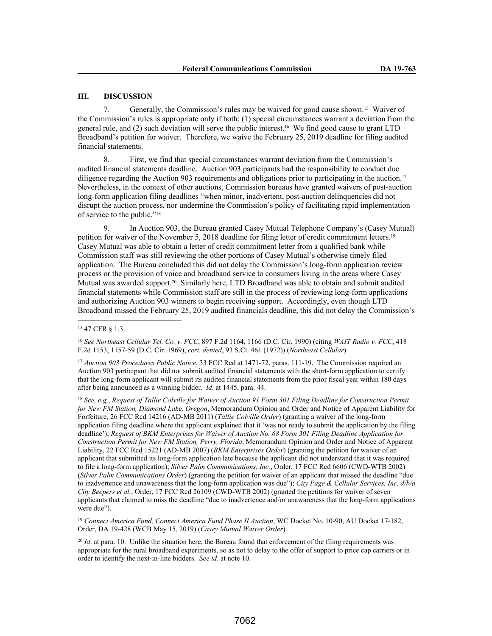# **III. DISCUSSION**

7. Generally, the Commission's rules may be waived for good cause shown.15 Waiver of the Commission's rules is appropriate only if both: (1) special circumstances warrant a deviation from the general rule, and (2) such deviation will serve the public interest.16 We find good cause to grant LTD Broadband's petition for waiver. Therefore, we waive the February 25, 2019 deadline for filing audited financial statements.

8. First, we find that special circumstances warrant deviation from the Commission's audited financial statements deadline. Auction 903 participants had the responsibility to conduct due diligence regarding the Auction 903 requirements and obligations prior to participating in the auction.<sup>17</sup> Nevertheless, in the context of other auctions, Commission bureaus have granted waivers of post-auction long-form application filing deadlines "when minor, inadvertent, post-auction delinquencies did not disrupt the auction process, nor undermine the Commission's policy of facilitating rapid implementation of service to the public."<sup>18</sup>

9. In Auction 903, the Bureau granted Casey Mutual Telephone Company's (Casey Mutual) petition for waiver of the November 5, 2018 deadline for filing letter of credit commitment letters.<sup>19</sup> Casey Mutual was able to obtain a letter of credit commitment letter from a qualified bank while Commission staff was still reviewing the other portions of Casey Mutual's otherwise timely filed application. The Bureau concluded this did not delay the Commission's long-form application review process or the provision of voice and broadband service to consumers living in the areas where Casey Mutual was awarded support.20 Similarly here, LTD Broadband was able to obtain and submit audited financial statements while Commission staff are still in the process of reviewing long-form applications and authorizing Auction 903 winners to begin receiving support. Accordingly, even though LTD Broadband missed the February 25, 2019 audited financials deadline, this did not delay the Commission's

<sup>16</sup> *See Northeast Cellular Tel. Co. v. FCC*, 897 F.2d 1164, 1166 (D.C. Cir. 1990) (citing *WAIT Radio v. FCC*, 418 F.2d 1153, 1157-59 (D.C. Cir. 1969), *cert. denied*, 93 S.Ct. 461 (1972)) (*Northeast Cellular*).

<sup>17</sup> *Auction 903 Procedures Public Notice*, 33 FCC Rcd at 1471-72, paras. 111-19. The Commission required an Auction 903 participant that did not submit audited financial statements with the short-form application to certify that the long-form applicant will submit its audited financial statements from the prior fiscal year within 180 days after being announced as a winning bidder. *Id*. at 1445, para. 44.

<sup>18</sup> *See, e.g.*, *Request of Tallie Colville for Waiver of Auction 91 Form 301 Filing Deadline for Construction Permit for New FM Station, Diamond Lake, Oregon*, Memorandum Opinion and Order and Notice of Apparent Liability for Forfeiture, 26 FCC Rcd 14216 (AD-MB 2011) (*Tallie Colville Order*) (granting a waiver of the long-form application filing deadline where the applicant explained that it 'was not ready to submit the application by the filing deadline'); *Request of BKM Enterprises for Waiver of Auction No. 68 Form 301 Filing Deadline Application for Construction Permit for New FM Station, Perry, Florida*, Memorandum Opinion and Order and Notice of Apparent Liability, 22 FCC Rcd 15221 (AD-MB 2007) (*BKM Enterprises Order*) (granting the petition for waiver of an applicant that submitted its long-form application late because the applicant did not understand that it was required to file a long-form application); *Silver Palm Communications, Inc.*, Order, 17 FCC Rcd 6606 (CWD-WTB 2002) (*Silver Palm Communications Order*) (granting the petition for waiver of an applicant that missed the deadline "due to inadvertence and unawareness that the long-form application was due"); *City Page & Cellular Services, Inc. d/b/a City Beepers et al.*, Order, 17 FCC Rcd 26109 (CWD-WTB 2002) (granted the petitions for waiver of seven applicants that claimed to miss the deadline "due to inadvertence and/or unawareness that the long-form applications were due").

<sup>19</sup> Connect America Fund, Connect America Fund Phase II Auction, WC Docket No. 10-90, AU Docket 17-182, Order, DA 19-428 (WCB May 15, 2019) (*Casey Mutual Waiver Order*).

<sup>20</sup> *Id.* at para. 10. Unlike the situation here, the Bureau found that enforcement of the filing requirements was appropriate for the rural broadband experiments, so as not to delay to the offer of support to price cap carriers or in order to identify the next-in-line bidders. *See id*. at note 10.

<sup>15</sup> 47 CFR § 1.3.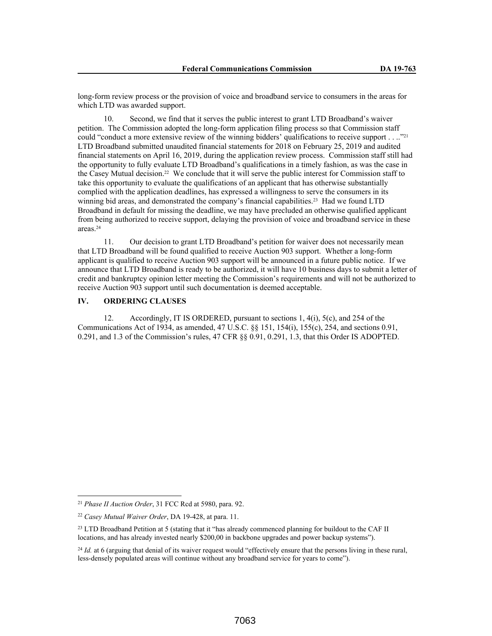long-form review process or the provision of voice and broadband service to consumers in the areas for which LTD was awarded support.

10. Second, we find that it serves the public interest to grant LTD Broadband's waiver petition. The Commission adopted the long-form application filing process so that Commission staff could "conduct a more extensive review of the winning bidders' qualifications to receive support . . .."<sup>21</sup> LTD Broadband submitted unaudited financial statements for 2018 on February 25, 2019 and audited financial statements on April 16, 2019, during the application review process. Commission staff still had the opportunity to fully evaluate LTD Broadband's qualifications in a timely fashion, as was the case in the Casey Mutual decision.22 We conclude that it will serve the public interest for Commission staff to take this opportunity to evaluate the qualifications of an applicant that has otherwise substantially complied with the application deadlines, has expressed a willingness to serve the consumers in its winning bid areas, and demonstrated the company's financial capabilities.<sup>23</sup> Had we found LTD Broadband in default for missing the deadline, we may have precluded an otherwise qualified applicant from being authorized to receive support, delaying the provision of voice and broadband service in these areas.<sup>24</sup>

11. Our decision to grant LTD Broadband's petition for waiver does not necessarily mean that LTD Broadband will be found qualified to receive Auction 903 support. Whether a long-form applicant is qualified to receive Auction 903 support will be announced in a future public notice. If we announce that LTD Broadband is ready to be authorized, it will have 10 business days to submit a letter of credit and bankruptcy opinion letter meeting the Commission's requirements and will not be authorized to receive Auction 903 support until such documentation is deemed acceptable.

# **IV. ORDERING CLAUSES**

12. Accordingly, IT IS ORDERED, pursuant to sections 1, 4(i), 5(c), and 254 of the Communications Act of 1934, as amended, 47 U.S.C. §§ 151, 154(i), 155(c), 254, and sections 0.91, 0.291, and 1.3 of the Commission's rules, 47 CFR §§ 0.91, 0.291, 1.3, that this Order IS ADOPTED.

<sup>21</sup> *Phase II Auction Order*, 31 FCC Rcd at 5980, para. 92.

<sup>22</sup> *Casey Mutual Waiver Order*, DA 19-428, at para. 11.

<sup>&</sup>lt;sup>23</sup> LTD Broadband Petition at 5 (stating that it "has already commenced planning for buildout to the CAF II locations, and has already invested nearly \$200,00 in backbone upgrades and power backup systems").

<sup>&</sup>lt;sup>24</sup> *Id.* at 6 (arguing that denial of its waiver request would "effectively ensure that the persons living in these rural, less-densely populated areas will continue without any broadband service for years to come").